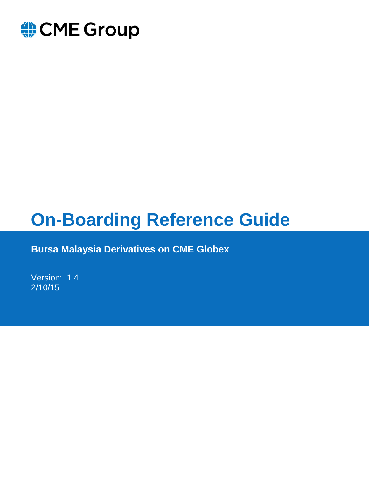

# **On-Boarding Reference Guide**

**Bursa Malaysia Derivatives on CME Globex**

Version: 1.4 2/10/15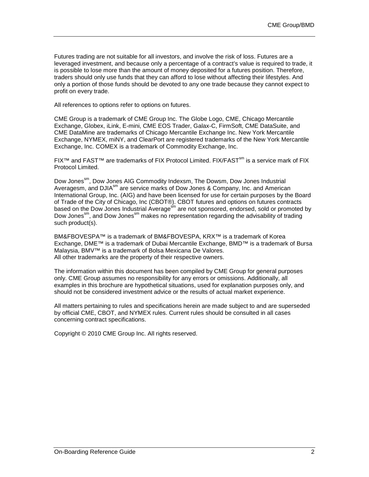Futures trading are not suitable for all investors, and involve the risk of loss. Futures are a leveraged investment, and because only a percentage of a contract's value is required to trade, it is possible to lose more than the amount of money deposited for a futures position. Therefore, traders should only use funds that they can afford to lose without affecting their lifestyles. And only a portion of those funds should be devoted to any one trade because they cannot expect to profit on every trade.

All references to options refer to options on futures.

CME Group is a trademark of CME Group Inc. The Globe Logo, CME, Chicago Mercantile Exchange, Globex, iLink, E-mini, CME EOS Trader, Galax-C, FirmSoft, CME DataSuite, and CME DataMine are trademarks of Chicago Mercantile Exchange Inc. New York Mercantile Exchange, NYMEX, miNY, and ClearPort are registered trademarks of the New York Mercantile Exchange, Inc. COMEX is a trademark of Commodity Exchange, Inc.

FIX<sup>™</sup> and FAST<sup>™</sup> are trademarks of FIX Protocol Limited. FIX/FAST<sup>sm</sup> is a service mark of FIX Protocol Limited.

Dow Jones<sup>sm</sup>, Dow Jones AIG Commodity Indexsm, The Dowsm, Dow Jones Industrial Averagesm, and DJIA<sup>sm</sup> are service marks of Dow Jones & Company, Inc. and American International Group, Inc. (AIG) and have been licensed for use for certain purposes by the Board of Trade of the City of Chicago, Inc (CBOT®). CBOT futures and options on futures contracts based on the Dow Jones Industrial Averages<sup>m</sup> are not sponsored, endorsed, sold or promoted by Dow Jones<sup>sm</sup>, and Dow Jones<sup>sm</sup> makes no representation regarding the advisability of trading such product(s).

BM&FBOVESPA™ is a trademark of BM&FBOVESPA, KRX™ is a trademark of Korea Exchange, DME™ is a trademark of Dubai Mercantile Exchange, BMD™ is a trademark of Bursa Malaysia, BMV™ is a trademark of Bolsa Mexicana De Valores. All other trademarks are the property of their respective owners.

The information within this document has been compiled by CME Group for general purposes only. CME Group assumes no responsibility for any errors or omissions. Additionally, all examples in this brochure are hypothetical situations, used for explanation purposes only, and should not be considered investment advice or the results of actual market experience.

All matters pertaining to rules and specifications herein are made subject to and are superseded by official CME, CBOT, and NYMEX rules. Current rules should be consulted in all cases concerning contract specifications.

Copyright © 2010 CME Group Inc. All rights reserved.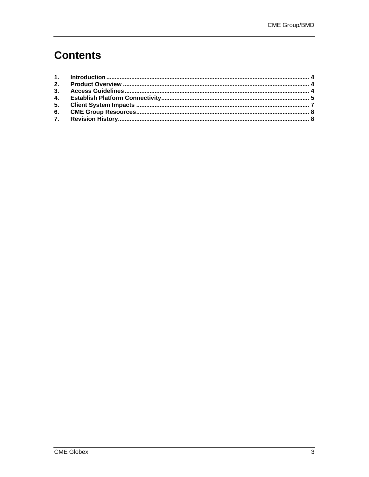## **Contents**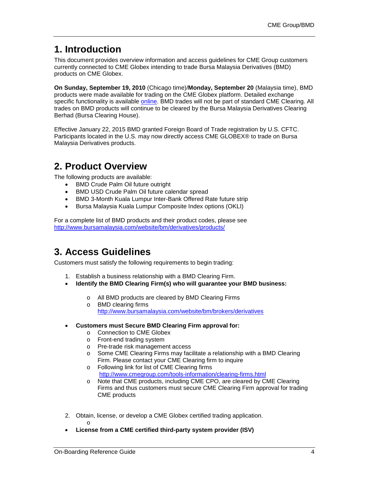### <span id="page-3-0"></span>**1. Introduction**

This document provides overview information and access guidelines for CME Group customers currently connected to CME Globex intending to trade Bursa Malaysia Derivatives (BMD) products on CME Globex.

**On Sunday, September 19, 2010** (Chicago time)/**Monday, September 20** (Malaysia time), BMD products were made available for trading on the CME Globex platform. Detailed exchange specific functionality is available [online.](http://www.cmegroup.com/globex/files/ExchangeSpecificFunctionality.pdf) BMD trades will not be part of standard CME Clearing. All trades on BMD products will continue to be cleared by the Bursa Malaysia Derivatives Clearing Berhad (Bursa Clearing House).

Effective January 22, 2015 BMD granted Foreign Board of Trade registration by U.S. CFTC. Participants located in the U.S. may now directly access CME GLOBEX® to trade on Bursa Malaysia Derivatives products.

### <span id="page-3-1"></span>**2. Product Overview**

The following products are available:

- BMD Crude Palm Oil future outright
- BMD USD Crude Palm Oil future calendar spread
- BMD 3-Month Kuala Lumpur Inter-Bank Offered Rate future strip
- Bursa Malaysia Kuala Lumpur Composite Index options (OKLI)

For a complete list of BMD products and their product codes, please see <http://www.bursamalaysia.com/website/bm/derivatives/products/>

### <span id="page-3-2"></span>**3. Access Guidelines**

Customers must satisfy the following requirements to begin trading:

- 1. Establish a business relationship with a BMD Clearing Firm.
- **Identify the BMD Clearing Firm(s) who will guarantee your BMD business:**
	- o All BMD products are cleared by BMD Clearing Firms
	- o BMD clearing firms <http://www.bursamalaysia.com/website/bm/brokers/derivatives>
- **Customers must Secure BMD Clearing Firm approval for:**
	- o Connection to CME Globex
	- o Front-end trading system<br>
	o Pre-trade risk manageme
	- o Pre-trade risk management access<br>
	o Some CME Clearing Firms may fac
	- Some CME Clearing Firms may facilitate a relationship with a BMD Clearing Firm. Please contact your CME Clearing firm to inquire
	- o Following link for list of CME Clearing firms <http://www.cmegroup.com/tools-information/clearing-firms.html>
	- o Note that CME products, including CME CPO, are cleared by CME Clearing Firms and thus customers must secure CME Clearing Firm approval for trading CME products
- 2. Obtain, license, or develop a CME Globex certified trading application.
	-
	- o • **License from a CME certified third-party system provider (ISV)**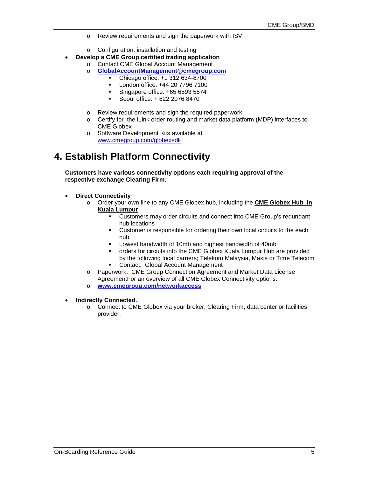- o Review requirements and sign the paperwork with ISV
- o Configuration, installation and testing
- **Develop a CME Group certified trading application**
	- o Contact CME Global Account Management
		- o **[GlobalAccountManagement@cmegroup.com](mailto:GlobalAccountManagement@cmegroup.com)**
			- Chicago office: +1 312 634-8700
			- London office: +44 20 7796 7100
			- Singapore office:  $+65\,6593\,5574$ <br>Sequi office:  $+822\,2076\,8470$
			- Seoul office: + 822 2076 8470
		- $\circ$  Review requirements and sign the required paperwork  $\circ$  Certify for the iLink order routing and market data platf
		- Certify for the iLink order routing and market data platform (MDP) interfaces to CME Globex
		- o Software Development Kits available at [www.cmegroup.com/globexsdk](http://www.cmegroup.com/globexsdk)

### <span id="page-4-0"></span>**4. Establish Platform Connectivity**

**Customers have various connectivity options each requiring approval of the respective exchange Clearing Firm***:*

- **Direct Connectivity**
	- o Order your own line to any CME Globex hub, including the **CME Globex Hub in Kuala Lumpur** 
		- Customers may order circuits and connect into CME Group's redundant hub locations
		- Customer is responsible for ordering their own local circuits to the each hub
		- Lowest bandwidth of 10mb and highest bandwidth of 40mb
		- orders for circuits into the CME Globex Kuala Lumpur Hub are provided by the following local carriers; Telekom Malaysia, Maxis or Time Telecom
		- Contact: Global Account Management
	- o Paperwork: CME Group Connection Agreement and Market Data License
	- AgreementFor an overview of all CME Globex Connectivity options:
	- o **[www.cmegroup.com/networkaccess](http://www.cmegroup.com/networkaccess)**
- **Indirectly Connected.**
	- o Connect to CME Globex via your broker, Clearing Firm, data center or facilities provider.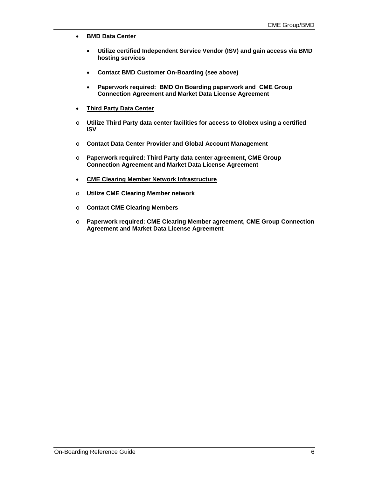- **BMD Data Center** 
	- **Utilize certified Independent Service Vendor (ISV) and gain access via BMD hosting services**
	- **Contact BMD Customer On-Boarding (see above)**
	- **Paperwork required: BMD On Boarding paperwork and CME Group Connection Agreement and Market Data License Agreement**
- **Third Party Data Center**
- o **Utilize Third Party data center facilities for access to Globex using a certified ISV**
- o **Contact Data Center Provider and Global Account Management**
- o **Paperwork required: Third Party data center agreement, CME Group Connection Agreement and Market Data License Agreement**
- **CME Clearing Member Network Infrastructure**
- o **Utilize CME Clearing Member network**
- o **Contact CME Clearing Members**
- o **Paperwork required: CME Clearing Member agreement, CME Group Connection Agreement and Market Data License Agreement**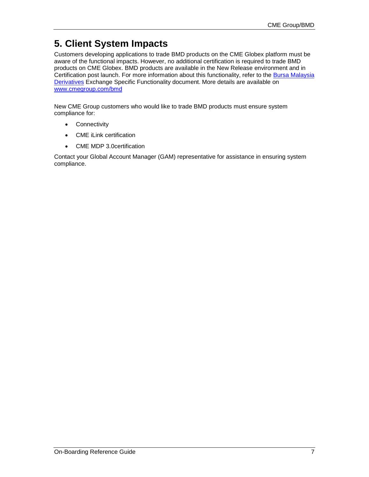### <span id="page-6-0"></span>**5. Client System Impacts**

Customers developing applications to trade BMD products on the CME Globex platform must be aware of the functional impacts. However, no additional certification is required to trade BMD products on CME Globex. BMD products are available in the New Release environment and in Certification post launch. For more information about this functionality, refer to the Bursa Malaysia [Derivatives](http://www.cmegroup.com/confluence/display/EPICSANDBOX/Bursa+Malaysia+Derivatives) Exchange Specific Functionality document. More details are available on [www.cmegroup.com/bmd](http://www.cmegroup.com/bmd)

New CME Group customers who would like to trade BMD products must ensure system compliance for:

- Connectivity
- CME iLink certification
- CME MDP 3.0certification

Contact your Global Account Manager (GAM) representative for assistance in ensuring system compliance.